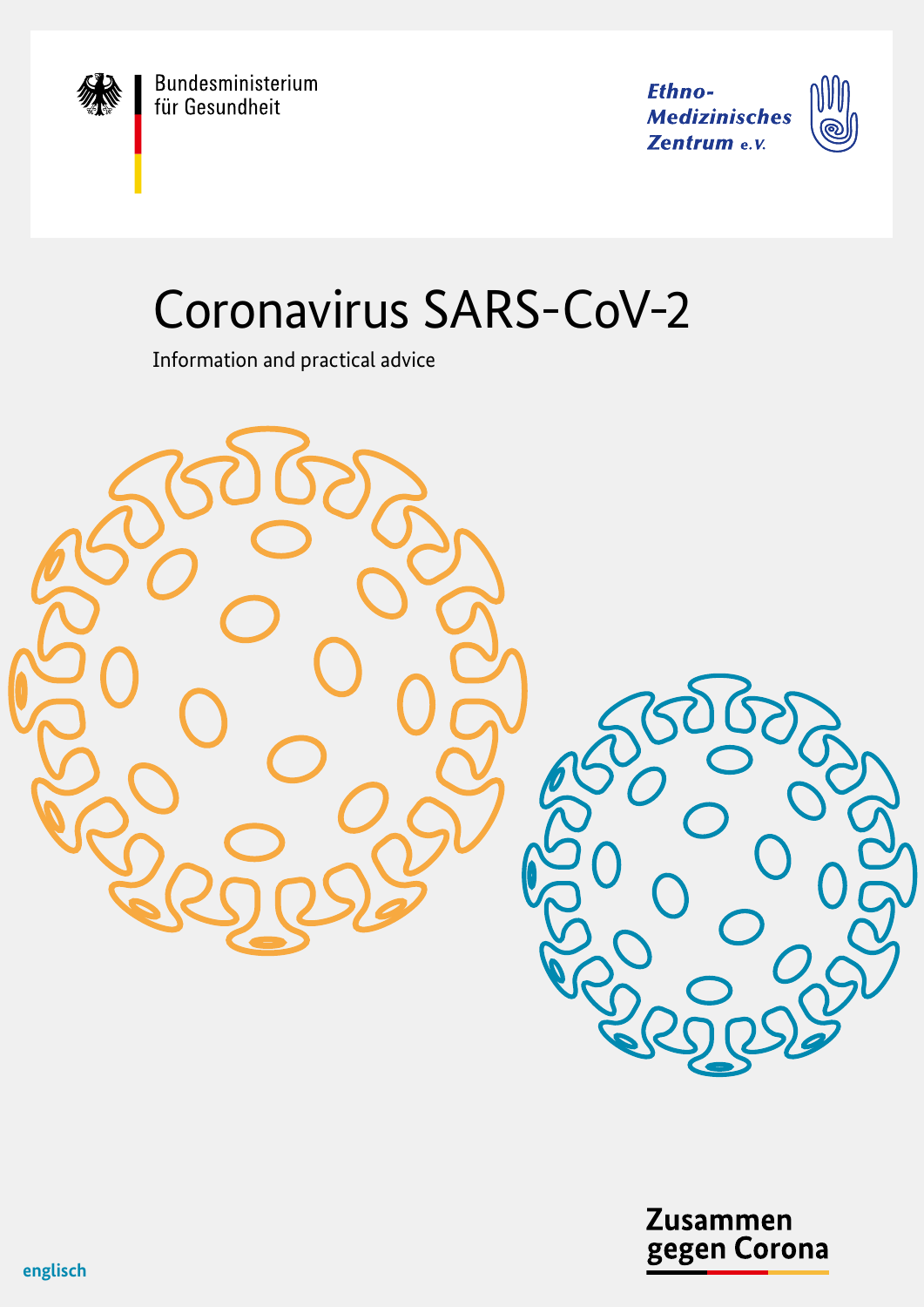Bundesministerium<br>für Gesundheit

**Ethno-Medizinisches** Zentrum e.v.



# Coronavirus SARS-CoV-2

Information and practical advice



**Zusammen** gegen Corona

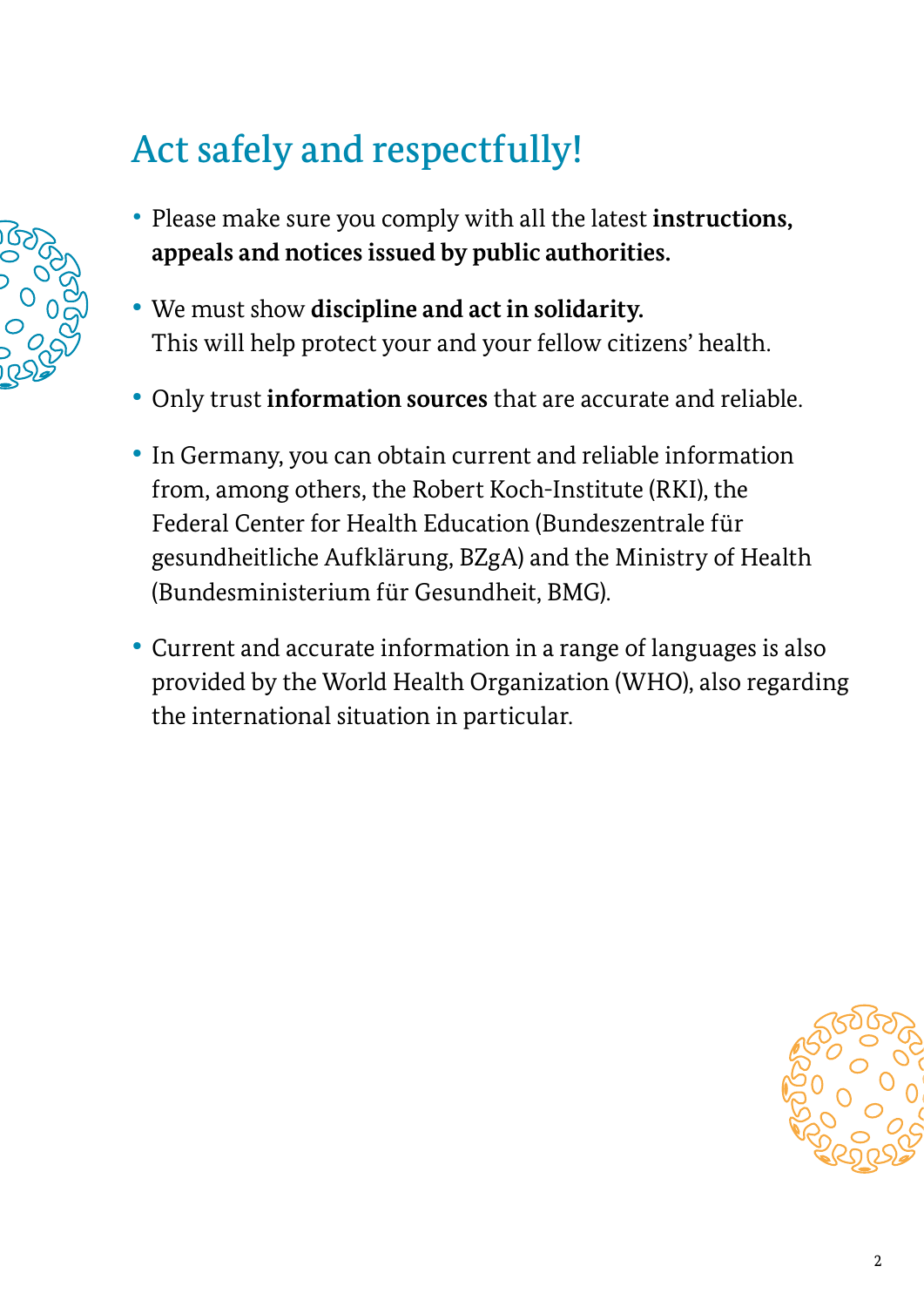## Act safely and respectfully!

- 
- Please make sure you comply with all the latest **instructions, appeals and notices issued by public authorities.**
- **•** We must show **discipline and act in solidarity.**  This will help protect your and your fellow citizens' health.
- **•** Only trust **information sources** that are accurate and reliable.
- **•** In Germany, you can obtain current and reliable information from, among others, the Robert Koch-Institute (RKI), the Federal Center for Health Education (Bundeszentrale für gesundheitliche Aufklärung, BZgA) and the Ministry of Health (Bundesministerium für Gesundheit, BMG).
- **•** Current and accurate information in a range of languages is also provided by the World Health Organization (WHO), also regarding the international situation in particular.

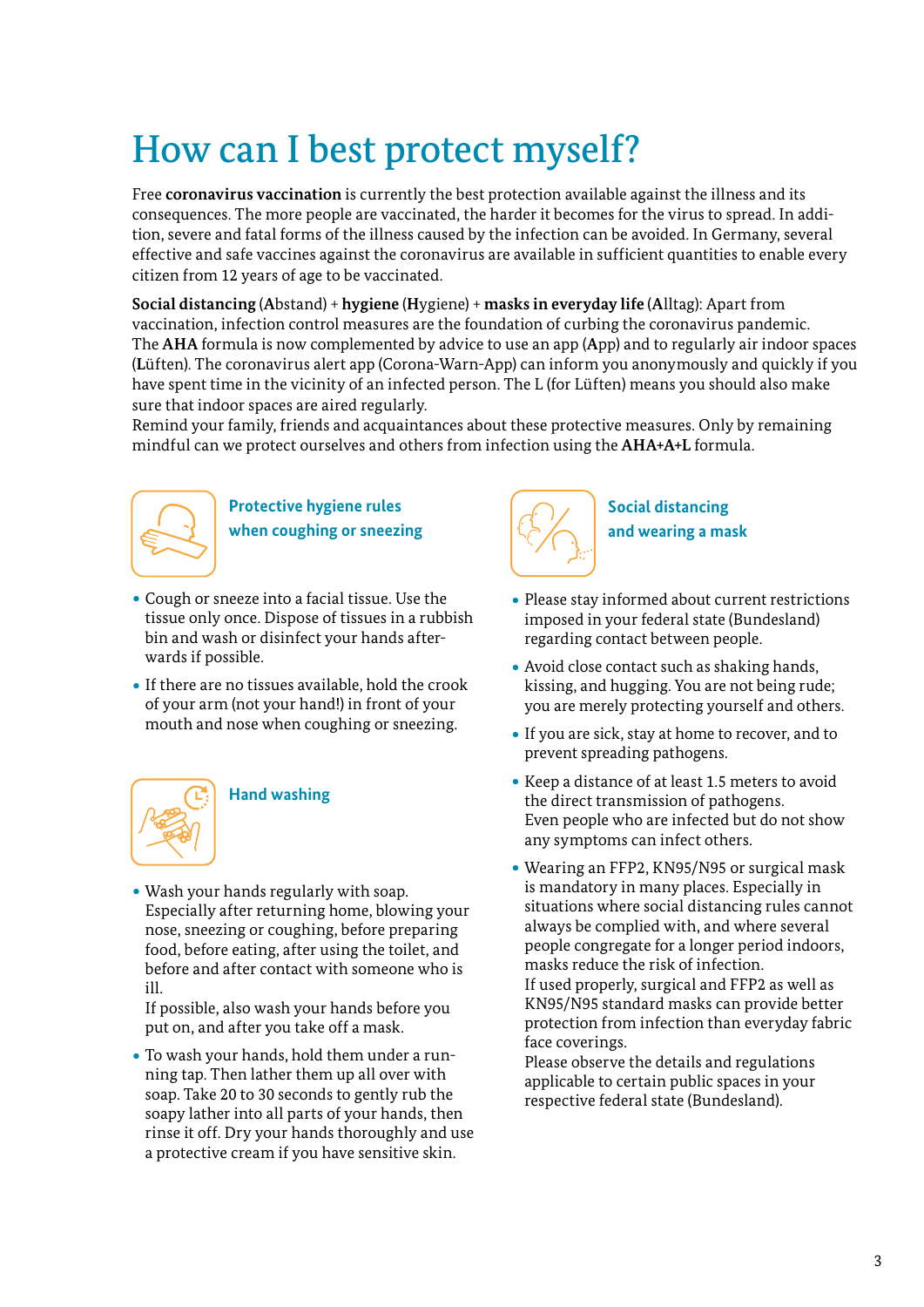## How can I best protect myself?

Free **coronavirus vaccination** is currently the best protection available against the illness and its consequences. The more people are vaccinated, the harder it becomes for the virus to spread. In addition, severe and fatal forms of the illness caused by the infection can be avoided. In Germany, several effective and safe vaccines against the coronavirus are available in sufficient quantities to enable every citizen from 12 years of age to be vaccinated.

**Social distancing** (**A**bstand) + **hygiene** (**H**ygiene) + **masks in everyday life** (**A**lltag): Apart from vaccination, infection control measures are the foundation of curbing the coronavirus pandemic. The **AHA** formula is now complemented by advice to use an app (**A**pp) and to regularly air indoor spaces (**L**üften). The coronavirus alert app (Corona-Warn-App) can inform you anonymously and quickly if you have spent time in the vicinity of an infected person. The L (for Lüften) means you should also make sure that indoor spaces are aired regularly.

Remind your family, friends and acquaintances about these protective measures. Only by remaining mindful can we protect ourselves and others from infection using the **AHA+A+L** formula.



**Protective hygiene rules when coughing or sneezing** 

- ∙ Cough or sneeze into a facial tissue. Use the tissue only once. Dispose of tissues in a rubbish bin and wash or disinfect your hands afterwards if possible.
- ∙ If there are no tissues available, hold the crook of your arm (not your hand!) in front of your mouth and nose when coughing or sneezing.



#### **Hand washing**

∙ Wash your hands regularly with soap. Especially after returning home, blowing your nose, sneezing or coughing, before preparing food, before eating, after using the toilet, and before and after contact with someone who is ill.

If possible, also wash your hands before you put on, and after you take off a mask.

∙ To wash your hands, hold them under a running tap. Then lather them up all over with soap. Take 20 to 30 seconds to gently rub the soapy lather into all parts of your hands, then rinse it off. Dry your hands thoroughly and use a protective cream if you have sensitive skin.



**Social distancing and wearing a mask**

- ∙ Please stay informed about current restrictions imposed in your federal state (Bundesland) regarding contact between people.
- ∙ Avoid close contact such as shaking hands, kissing, and hugging. You are not being rude; you are merely protecting yourself and others.
- ∙ If you are sick, stay at home to recover, and to prevent spreading pathogens.
- ∙ Keep a distance of at least 1.5 meters to avoid the direct transmission of pathogens. Even people who are infected but do not show any symptoms can infect others.
- ∙ Wearing an FFP2, KN95/N95 or surgical mask is mandatory in many places. Especially in situations where social distancing rules cannot always be complied with, and where several people congregate for a longer period indoors, masks reduce the risk of infection. If used properly, surgical and FFP2 as well as KN95/N95 standard masks can provide better protection from infection than everyday fabric face coverings.

Please observe the details and regulations applicable to certain public spaces in your respective federal state (Bundesland).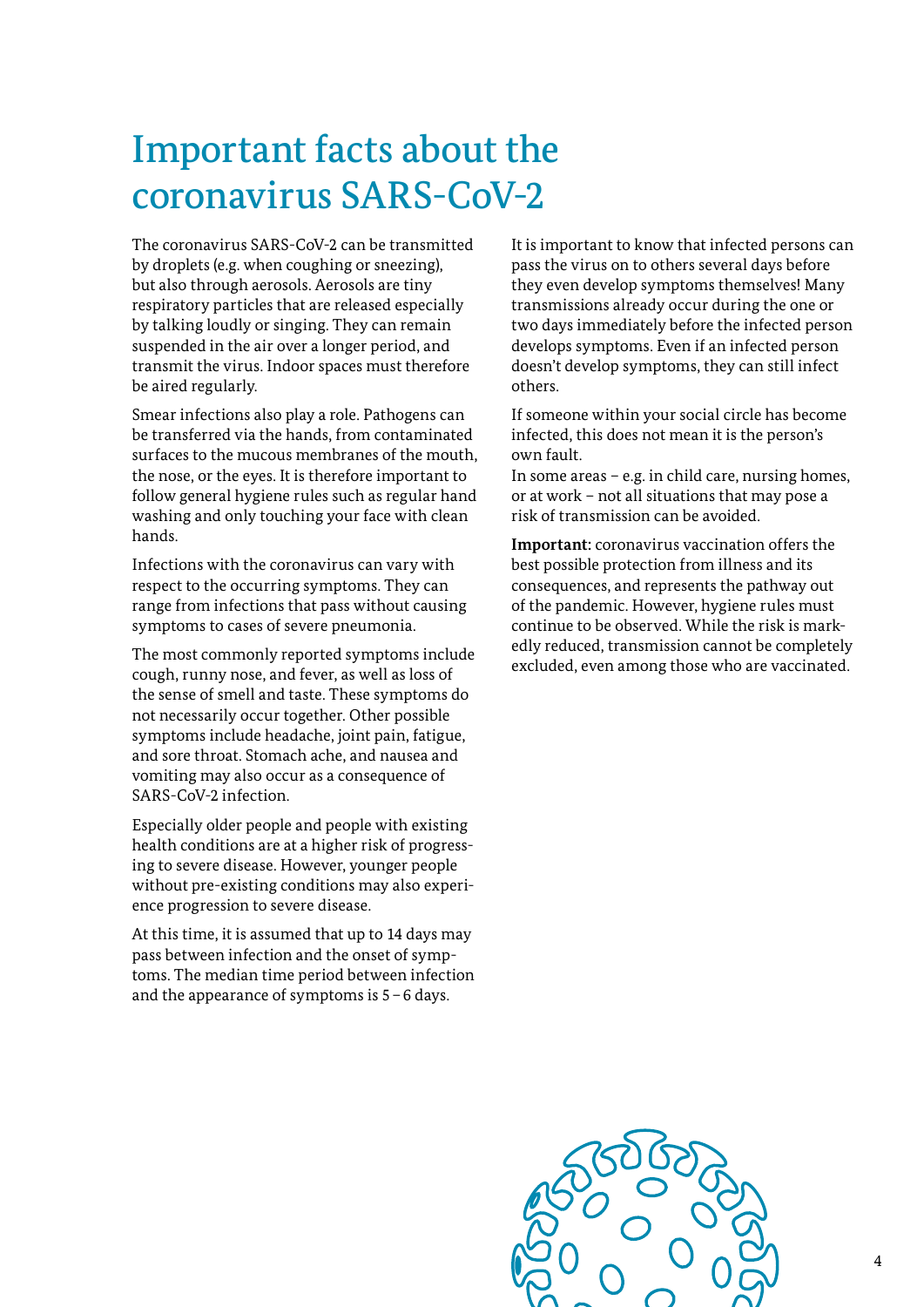## Important facts about the coronavirus SARS-CoV-2

The coronavirus SARS-CoV-2 can be transmitted by droplets (e.g. when coughing or sneezing), but also through aerosols. Aerosols are tiny respiratory particles that are released especially by talking loudly or singing. They can remain suspended in the air over a longer period, and transmit the virus. Indoor spaces must therefore be aired regularly.

Smear infections also play a role. Pathogens can be transferred via the hands, from contaminated surfaces to the mucous membranes of the mouth, the nose, or the eyes. It is therefore important to follow general hygiene rules such as regular hand washing and only touching your face with clean hands.

Infections with the coronavirus can vary with respect to the occurring symptoms. They can range from infections that pass without causing symptoms to cases of severe pneumonia.

The most commonly reported symptoms include cough, runny nose, and fever, as well as loss of the sense of smell and taste. These symptoms do not necessarily occur together. Other possible symptoms include headache, joint pain, fatigue, and sore throat. Stomach ache, and nausea and vomiting may also occur as a consequence of SARS-CoV-2 infection.

Especially older people and people with existing health conditions are at a higher risk of progressing to severe disease. However, younger people without pre-existing conditions may also experience progression to severe disease.

At this time, it is assumed that up to 14 days may pass between infection and the onset of symptoms. The median time period between infection and the appearance of symptoms is 5–6 days.

It is important to know that infected persons can pass the virus on to others several days before they even develop symptoms themselves! Many transmissions already occur during the one or two days immediately before the infected person develops symptoms. Even if an infected person doesn't develop symptoms, they can still infect others.

If someone within your social circle has become infected, this does not mean it is the person's own fault.

In some areas – e.g. in child care, nursing homes, or at work – not all situations that may pose a risk of transmission can be avoided.

**Important:** coronavirus vaccination offers the best possible protection from illness and its consequences, and represents the pathway out of the pandemic. However, hygiene rules must continue to be observed. While the risk is markedly reduced, transmission cannot be completely excluded, even among those who are vaccinated.

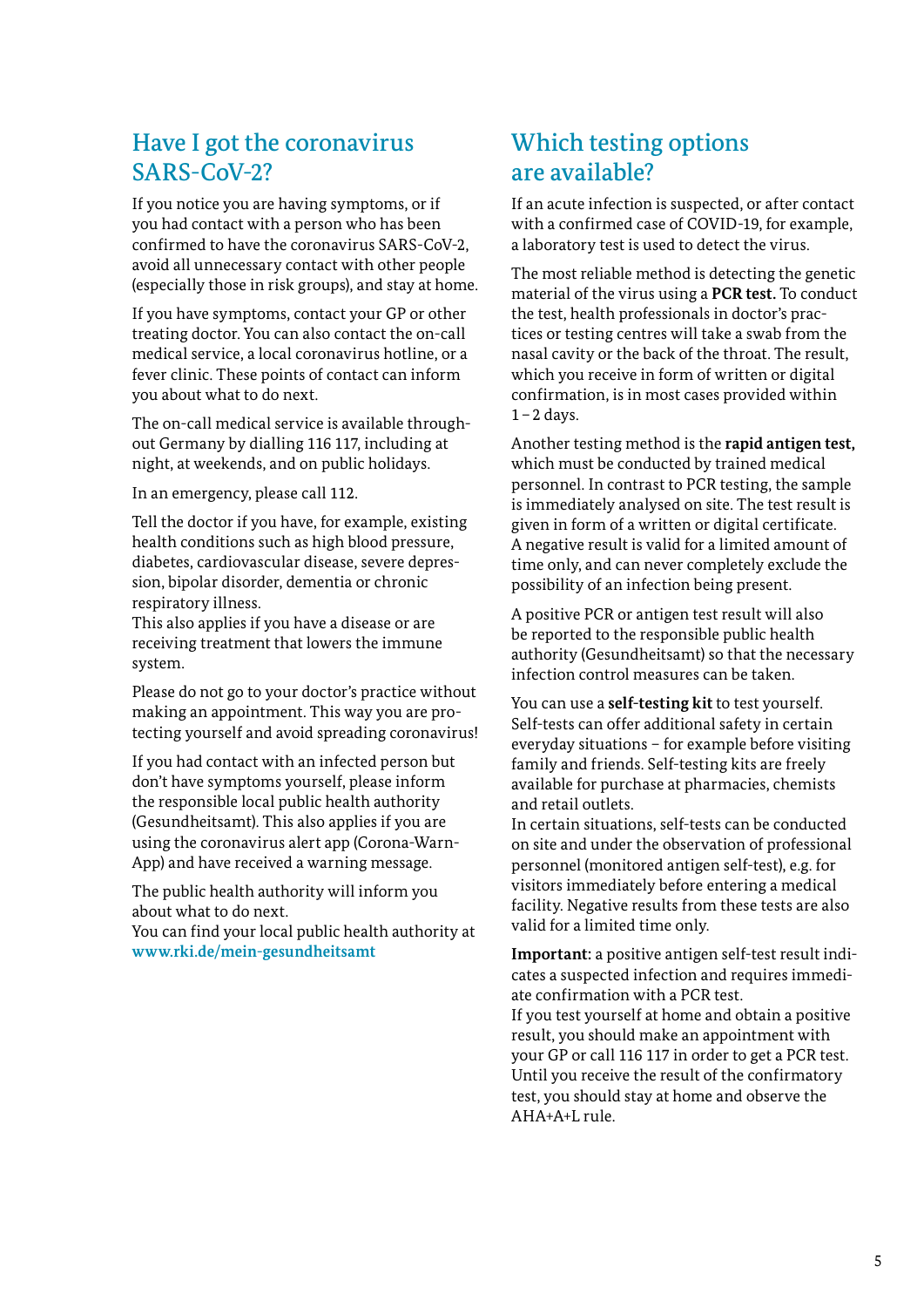### Have I got the coronavirus SARS-CoV-2?

If you notice you are having symptoms, or if you had contact with a person who has been confirmed to have the coronavirus SARS-CoV-2, avoid all unnecessary contact with other people (especially those in risk groups), and stay at home.

If you have symptoms, contact your GP or other treating doctor. You can also contact the on-call medical service, a local coronavirus hotline, or a fever clinic. These points of contact can inform you about what to do next.

The on-call medical service is available throughout Germany by dialling 116 117, including at night, at weekends, and on public holidays.

In an emergency, please call 112.

Tell the doctor if you have, for example, existing health conditions such as high blood pressure, diabetes, cardiovascular disease, severe depression, bipolar disorder, dementia or chronic respiratory illness.

This also applies if you have a disease or are receiving treatment that lowers the immune system.

Please do not go to your doctor's practice without making an appointment. This way you are protecting yourself and avoid spreading coronavirus!

If you had contact with an infected person but don't have symptoms yourself, please inform the responsible local public health authority (Gesundheitsamt). This also applies if you are using the coronavirus alert app (Corona-Warn-App) and have received a warning message.

The public health authority will inform you about what to do next.

You can find your local public health authority at **[www.rki.de/mein](www.rki.de/mein-gesundheitsamt)-gesundheitsamt**

## Which testing options are available?

If an acute infection is suspected, or after contact with a confirmed case of COVID-19, for example, a laboratory test is used to detect the virus.

The most reliable method is detecting the genetic material of the virus using a **PCR test.** To conduct the test, health professionals in doctor's practices or testing centres will take a swab from the nasal cavity or the back of the throat. The result, which you receive in form of written or digital confirmation, is in most cases provided within  $1-2$  days.

Another testing method is the **rapid antigen test,**  which must be conducted by trained medical personnel. In contrast to PCR testing, the sample is immediately analysed on site. The test result is given in form of a written or digital certificate. A negative result is valid for a limited amount of time only, and can never completely exclude the possibility of an infection being present.

A positive PCR or antigen test result will also be reported to the responsible public health authority (Gesundheitsamt) so that the necessary infection control measures can be taken.

You can use a **self-testing kit** to test yourself. Self-tests can offer additional safety in certain everyday situations – for example before visiting family and friends. Self-testing kits are freely available for purchase at pharmacies, chemists and retail outlets.

In certain situations, self-tests can be conducted on site and under the observation of professional personnel (monitored antigen self-test), e.g. for visitors immediately before entering a medical facility. Negative results from these tests are also valid for a limited time only.

**Important:** a positive antigen self-test result indicates a suspected infection and requires immediate confirmation with a PCR test.

If you test yourself at home and obtain a positive result, you should make an appointment with your GP or call 116 117 in order to get a PCR test. Until you receive the result of the confirmatory test, you should stay at home and observe the AHA+A+L rule.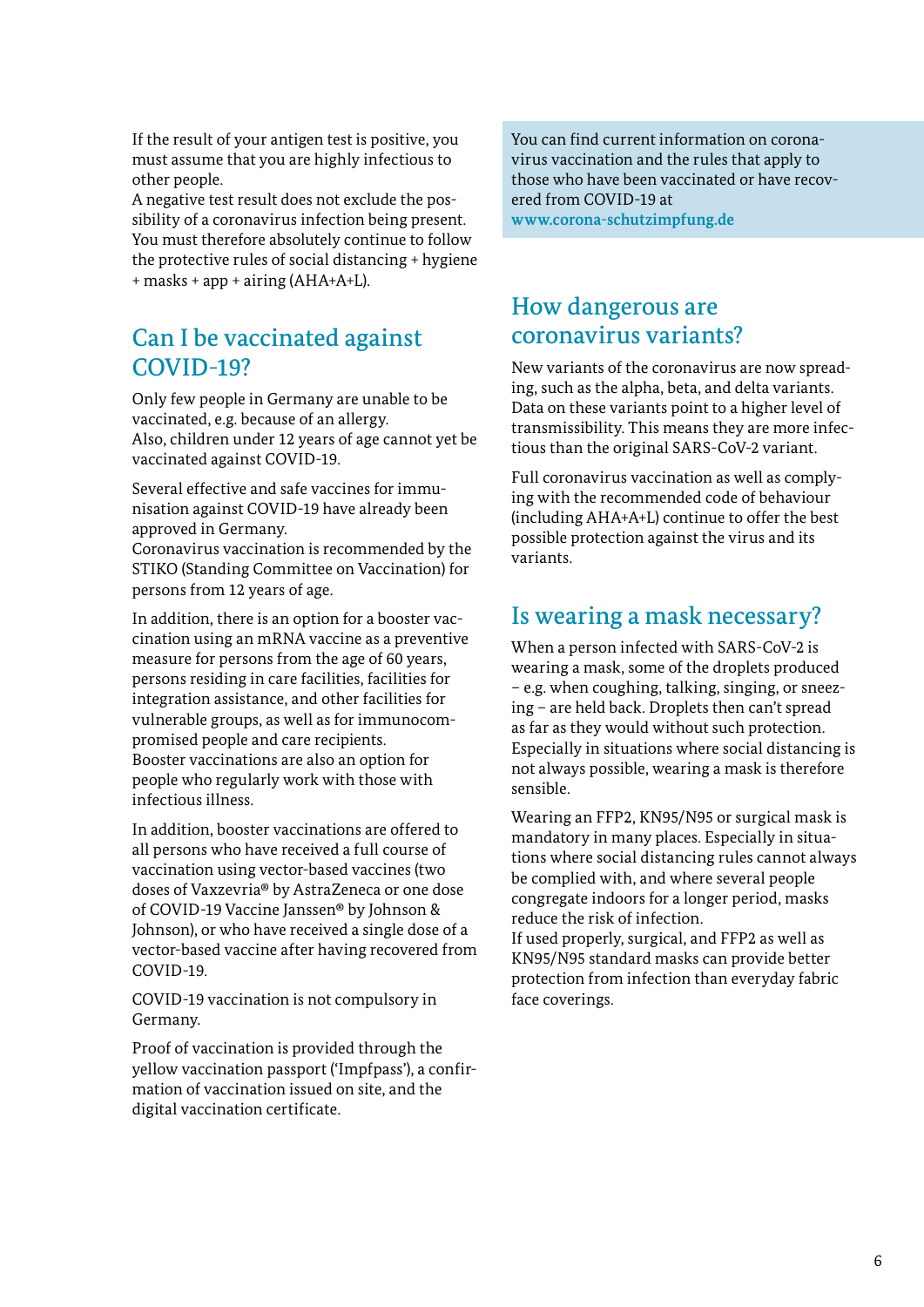If the result of your antigen test is positive, you must assume that you are highly infectious to other people.

A negative test result does not exclude the possibility of a coronavirus infection being present. You must therefore absolutely continue to follow the protective rules of social distancing + hygiene + masks + app + airing (AHA+A+L).

## Can I be vaccinated against COVID-19?

Only few people in Germany are unable to be vaccinated, e.g. because of an allergy. Also, children under 12 years of age cannot yet be vaccinated against COVID-19.

Several effective and safe vaccines for immunisation against COVID-19 have already been approved in Germany.

Coronavirus vaccination is recommended by the STIKO (Standing Committee on Vaccination) for persons from 12 years of age.

In addition, there is an option for a booster vaccination using an mRNA vaccine as a preventive measure for persons from the age of 60 years, persons residing in care facilities, facilities for integration assistance, and other facilities for vulnerable groups, as well as for immunocompromised people and care recipients. Booster vaccinations are also an option for people who regularly work with those with infectious illness.

In addition, booster vaccinations are offered to all persons who have received a full course of vaccination using vector-based vaccines (two doses of Vaxzevria® by AstraZeneca or one dose of COVID-19 Vaccine Janssen® by Johnson & Johnson), or who have received a single dose of a vector-based vaccine after having recovered from COVID-19.

COVID-19 vaccination is not compulsory in Germany.

Proof of vaccination is provided through the yellow vaccination passport ('Impfpass'), a confirmation of vaccination issued on site, and the digital vaccination certificate.

You can find current information on coronavirus vaccination and the rules that apply to those who have been vaccinated or have recovered from COVID-19 at

**[www.corona-schutzimpfung.de](https://www.zusammengegencorona.de/infos-zum-impfen/)**

## How dangerous are coronavirus variants?

New variants of the coronavirus are now spreading, such as the alpha, beta, and delta variants. Data on these variants point to a higher level of transmissibility. This means they are more infectious than the original SARS-CoV-2 variant.

Full coronavirus vaccination as well as complying with the recommended code of behaviour (including AHA+A+L) continue to offer the best possible protection against the virus and its variants.

### Is wearing a mask necessary?

When a person infected with SARS-CoV-2 is wearing a mask, some of the droplets produced – e.g. when coughing, talking, singing, or sneezing – are held back. Droplets then can't spread as far as they would without such protection. Especially in situations where social distancing is not always possible, wearing a mask is therefore sensible.

Wearing an FFP2, KN95/N95 or surgical mask is mandatory in many places. Especially in situations where social distancing rules cannot always be complied with, and where several people congregate indoors for a longer period, masks reduce the risk of infection.

If used properly, surgical, and FFP2 as well as KN95/N95 standard masks can provide better protection from infection than everyday fabric face coverings.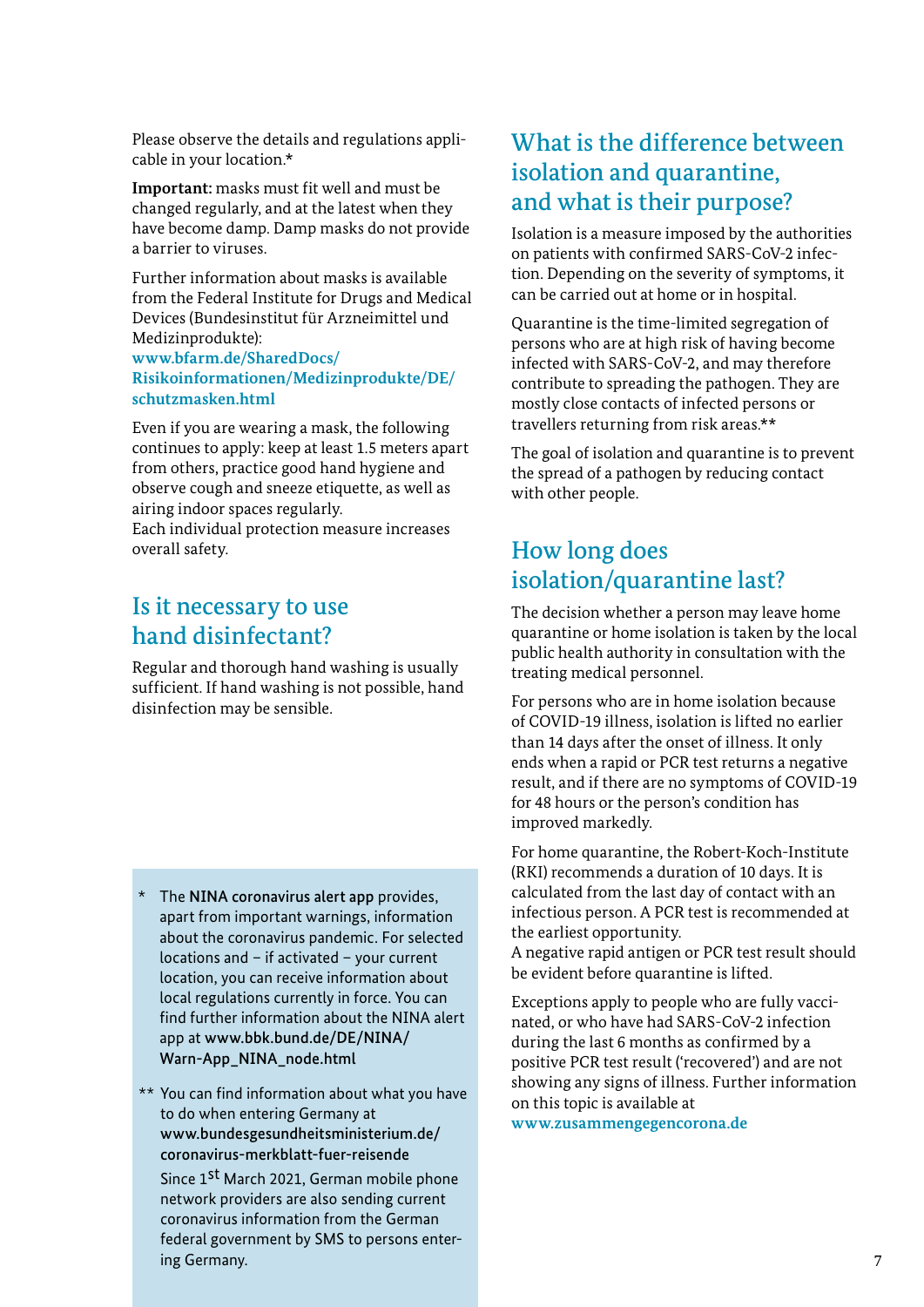Please observe the details and regulations applicable in your location.\*

**Important:** masks must fit well and must be changed regularly, and at the latest when they have become damp. Damp masks do not provide a barrier to viruses.

Further information about masks is available from the Federal Institute for Drugs and Medical Devices (Bundesinstitut für Arzneimittel und Medizinprodukte):

**[www.bfarm.de/SharedDocs/](https://www.bfarm.de/SharedDocs/Risikoinformationen/Medizinprodukte/DE/schutzmasken.html) [Risikoinformationen/Medizinprodukte/DE/](https://www.bfarm.de/SharedDocs/Risikoinformationen/Medizinprodukte/DE/schutzmasken.html) [schutzmasken.html](https://www.bfarm.de/SharedDocs/Risikoinformationen/Medizinprodukte/DE/schutzmasken.html)** 

Even if you are wearing a mask, the following continues to apply: keep at least 1.5 meters apart from others, practice good hand hygiene and observe cough and sneeze etiquette, as well as airing indoor spaces regularly.

Each individual protection measure increases overall safety.

### Is it necessary to use hand disinfectant?

Regular and thorough hand washing is usually sufficient. If hand washing is not possible, hand disinfection may be sensible.

- \* The NINA coronavirus alert app provides, apart from important warnings, information about the coronavirus pandemic. For selected locations and – if activated – your current location, you can receive information about local regulations currently in force. You can find further information about the NINA alert app at [www.bbk.bund.de/DE/NINA/](https://www.bbk.bund.de/DE/NINA/Warn-App_NINA_node.html)  [Warn-App\\_NINA\\_node.html](https://www.bbk.bund.de/DE/NINA/Warn-App_NINA_node.html)
- \*\* You can find information about what you have to do when entering Germany at [www.bundesgesundheitsministerium.de/](https://www.bundesgesundheitsministerium.de/coronavirus-infos-reisende/merkblatt-aussteigekarte.html) [coronavirus-merkblatt-fuer-reisende](https://www.bundesgesundheitsministerium.de/coronavirus-infos-reisende/merkblatt-aussteigekarte.html) Since 1<sup>st</sup> March 2021, German mobile phone network providers are also sending current coronavirus information from the German federal government by SMS to persons entering Germany.

## What is the difference between isolation and quarantine, and what is their purpose?

Isolation is a measure imposed by the authorities on patients with confirmed SARS-CoV-2 infection. Depending on the severity of symptoms, it can be carried out at home or in hospital.

Quarantine is the time-limited segregation of persons who are at high risk of having become infected with SARS-CoV-2, and may therefore contribute to spreading the pathogen. They are mostly close contacts of infected persons or travellers returning from risk areas.\*\*

The goal of isolation and quarantine is to prevent the spread of a pathogen by reducing contact with other people.

## How long does isolation/quarantine last?

The decision whether a person may leave home quarantine or home isolation is taken by the local public health authority in consultation with the treating medical personnel.

For persons who are in home isolation because of COVID-19 illness, isolation is lifted no earlier than 14 days after the onset of illness. It only ends when a rapid or PCR test returns a negative result, and if there are no symptoms of COVID-19 for 48 hours or the person's condition has improved markedly.

For home quarantine, the Robert-Koch-Institute (RKI) recommends a duration of 10 days. It is calculated from the last day of contact with an infectious person. A PCR test is recommended at the earliest opportunity.

A negative rapid antigen or PCR test result should be evident before quarantine is lifted.

Exceptions apply to people who are fully vaccinated, or who have had SARS-CoV-2 infection during the last 6 months as confirmed by a positive PCR test result ('recovered') and are not showing any signs of illness. Further information on this topic is available at

**[www.zusammengegencorona.de](https://www.zusammengegencorona.de/)**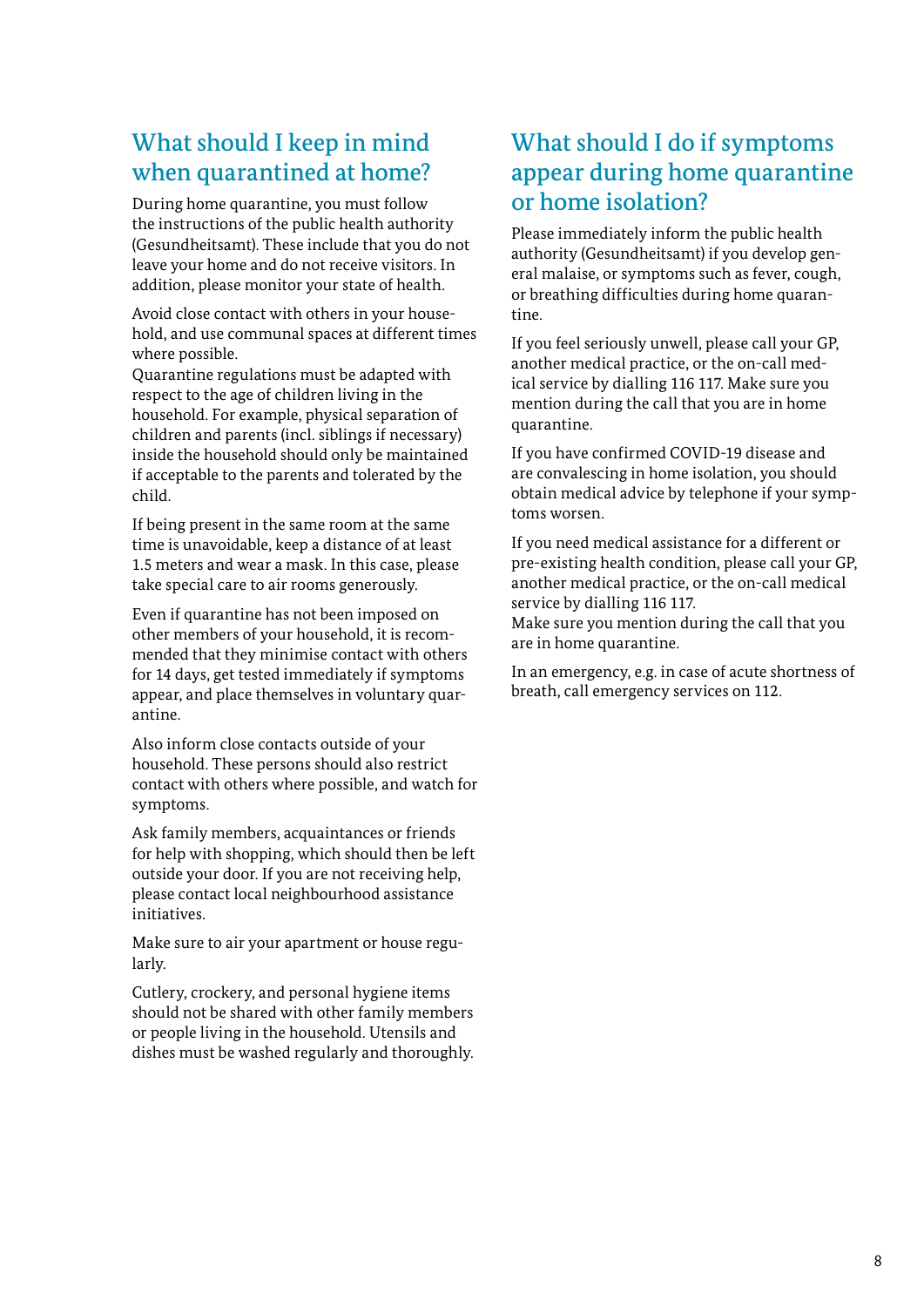## What should I keep in mind when quarantined at home?

During home quarantine, you must follow the instructions of the public health authority (Gesundheitsamt). These include that you do not leave your home and do not receive visitors. In addition, please monitor your state of health.

Avoid close contact with others in your household, and use communal spaces at different times where possible.

Quarantine regulations must be adapted with respect to the age of children living in the household. For example, physical separation of children and parents (incl. siblings if necessary) inside the household should only be maintained if acceptable to the parents and tolerated by the child.

If being present in the same room at the same time is unavoidable, keep a distance of at least 1.5 meters and wear a mask. In this case, please take special care to air rooms generously.

Even if quarantine has not been imposed on other members of your household, it is recommended that they minimise contact with others for 14 days, get tested immediately if symptoms appear, and place themselves in voluntary quarantine.

Also inform close contacts outside of your household. These persons should also restrict contact with others where possible, and watch for symptoms.

Ask family members, acquaintances or friends for help with shopping, which should then be left outside your door. If you are not receiving help, please contact local neighbourhood assistance initiatives.

Make sure to air your apartment or house regularly.

Cutlery, crockery, and personal hygiene items should not be shared with other family members or people living in the household. Utensils and dishes must be washed regularly and thoroughly.

## What should I do if symptoms appear during home quarantine or home isolation?

Please immediately inform the public health authority (Gesundheitsamt) if you develop general malaise, or symptoms such as fever, cough, or breathing difficulties during home quarantine.

If you feel seriously unwell, please call your GP, another medical practice, or the on-call medical service by dialling 116 117. Make sure you mention during the call that you are in home quarantine.

If you have confirmed COVID-19 disease and are convalescing in home isolation, you should obtain medical advice by telephone if your symptoms worsen.

If you need medical assistance for a different or pre-existing health condition, please call your GP, another medical practice, or the on-call medical service by dialling 116 117.

Make sure you mention during the call that you are in home quarantine.

In an emergency, e.g. in case of acute shortness of breath, call emergency services on 112.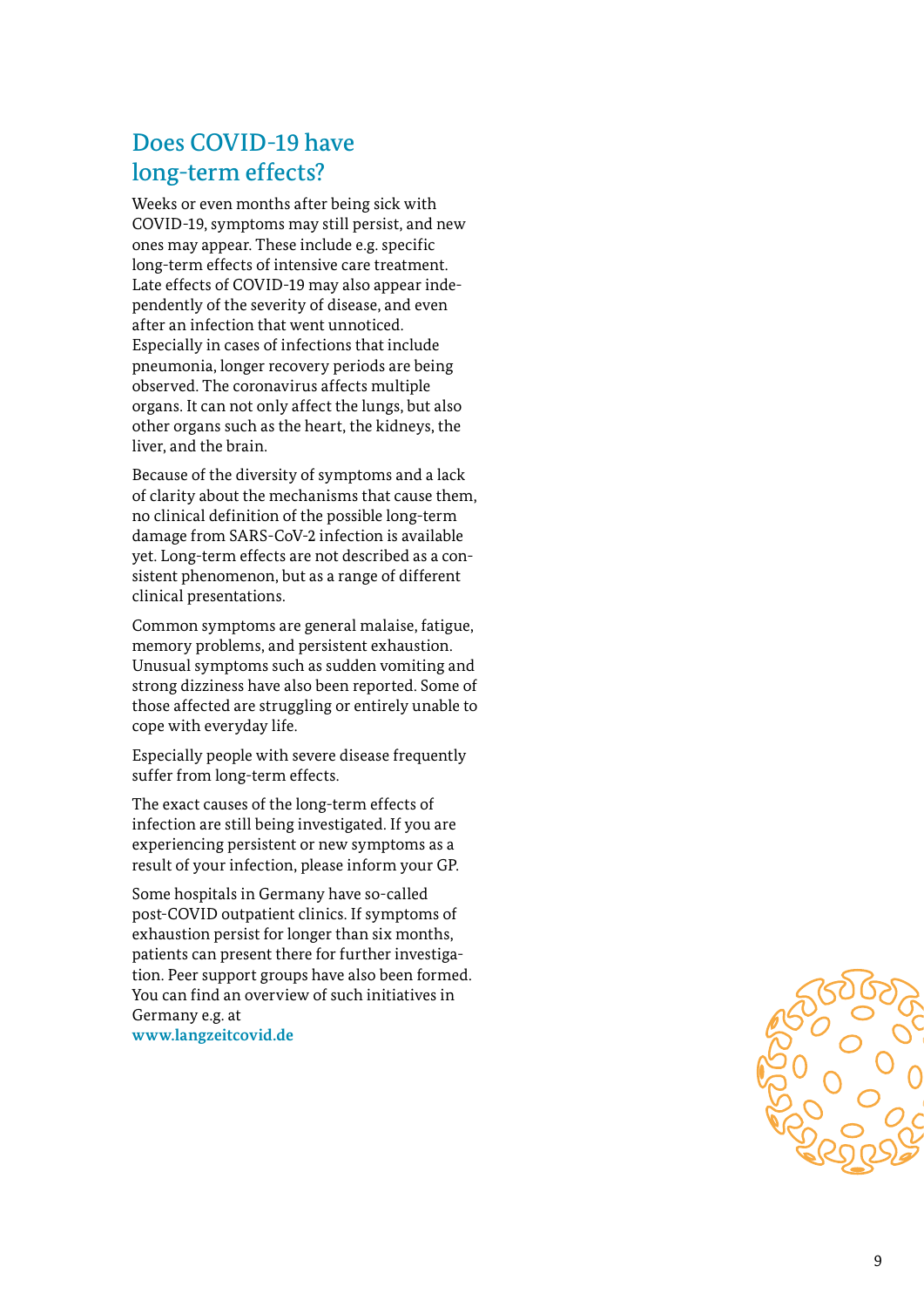### Does COVID-19 have long-term effects?

Weeks or even months after being sick with COVID-19, symptoms may still persist, and new ones may appear. These include e.g. specific long-term effects of intensive care treatment. Late effects of COVID-19 may also appear inde pendently of the severity of disease, and even after an infection that went unnoticed. Especially in cases of infections that include pneumonia, longer recovery periods are being observed. The coronavirus affects multiple organs. It can not only affect the lungs, but also other organs such as the heart, the kidneys, the liver, and the brain.

Because of the diversity of symptoms and a lack of clarity about the mechanisms that cause them, no clinical definition of the possible long-term damage from SARS-CoV-2 infection is available yet. Long-term effects are not described as a con sistent phenomenon, but as a range of different clinical presentations.

Common symptoms are general malaise, fatigue, memory problems, and persistent exhaustion. Unusual symptoms such as sudden vomiting and strong dizziness have also been reported. Some of those affected are struggling or entirely unable to cope with everyday life.

Especially people with severe disease frequently suffer from long-term effects.

The exact causes of the long-term effects of infection are still being investigated. If you are experiencing persistent or new symptoms as a result of your infection, please inform your GP.

Some hospitals in Germany have so-called post-COVID outpatient clinics. If symptoms of exhaustion persist for longer than six months, patients can present there for further investiga tion. Peer support groups have also been formed. You can find an overview of such initiatives in Germany e.g. at **[www.langzeitcovid.de](https://longcoviddeutschland.org/)**

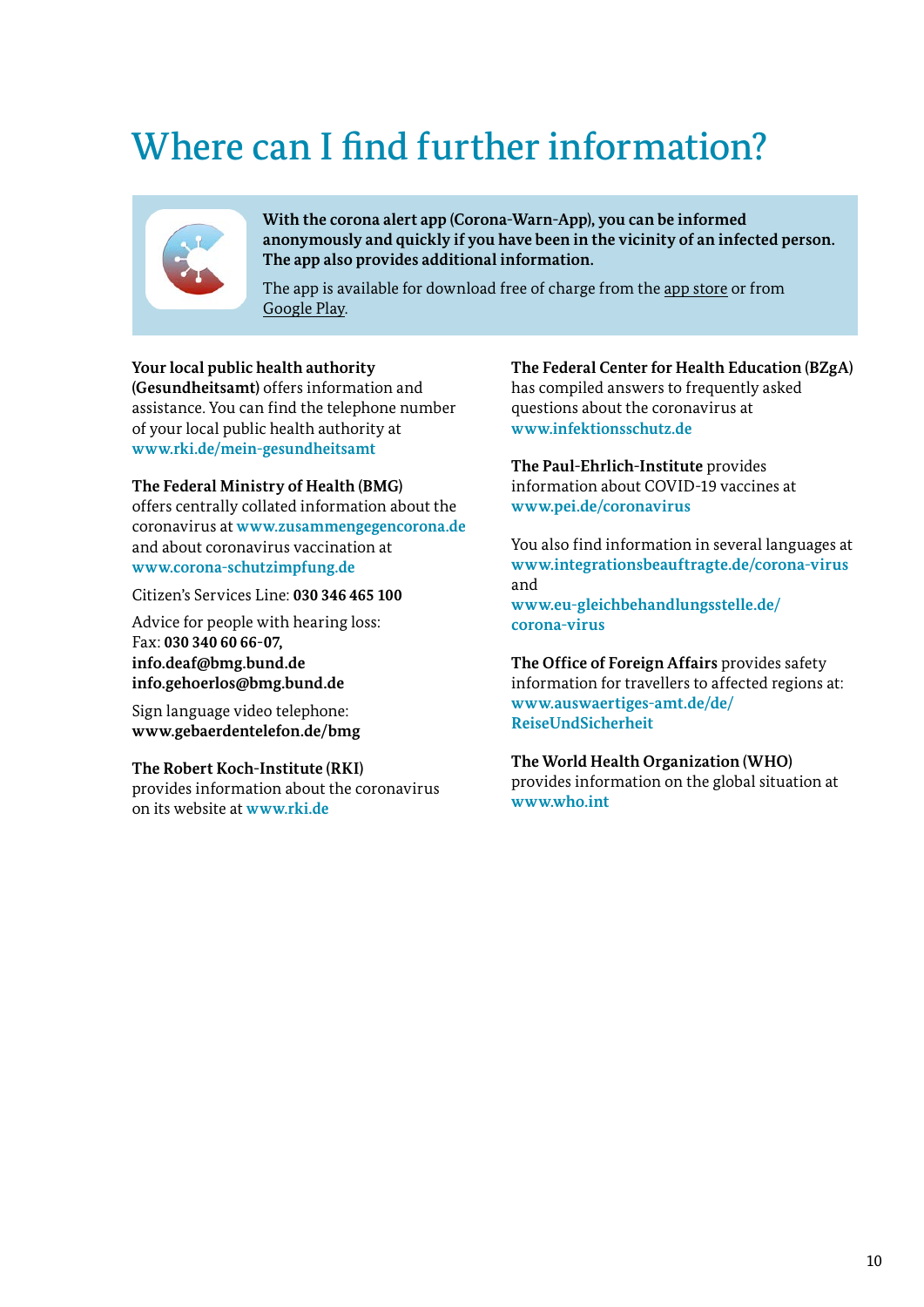## Where can I find further information?



**With the corona alert app (Corona-Warn-App), you can be informed anonymously and quickly if you have been in the vicinity of an infected person. The app also provides additional information.**

The app is available for download free of charge from the a[pp store](https://apps.apple.com/de/app/corona-warn-app/id1512595757) or from [Google Play](https://play.google.com/store/apps/details?id=de.rki.coronawarnapp).

#### **Your local public health authority**

**(Gesundheitsamt)** offers information and assistance. You can find the telephone number of your local public health authority at **[www.rki.de/mein](https://tools.rki.de/plztool/)-gesundheitsamt**

#### **The Federal Ministry of Health (BMG)**

offers centrally collated information about the coronavirus at **[www.zusammengegencorona.de](https://www.zusammengegencorona.de/)** and about coronavirus vaccination at **[www.corona-schutzimpfung.de](https://www.zusammengegencorona.de/infos-zum-impfen/)**

Citizen's Services Line: **030 346 465 100** 

Advice for people with hearing loss: Fax: **030 340 60 66-07, [info.deaf@bmg.bund.de](mailto:info.deaf@bmg.bund.de) [info.gehoerlos@bmg.bund.de](mailto:info.gehoerlos@bmg.bund.de)**

Sign language video telephone: **<www.gebaerdentelefon.de/bmg>**

#### **The Robert Koch-Institute (RKI)**

provides information about the coronavirus on its website at **[www.rki.de](https://www.rki.de/DE/Home/homepage_node.html)**

**The Federal Center for Health Education (BZgA)** has compiled answers to frequently asked questions about the coronavirus at **[www.infektionsschutz.de](https://www.infektionsschutz.de/)**

**The Paul-Ehrlich-Institute** provides information about COVID-19 vaccines at **[www.pei.de/coronavirus](https://www.pei.de/DE/newsroom/dossier/coronavirus/coronavirus-node.html)**

You also find information in several languages at **[www.integrationsbeauftragte.de/corona-virus](https://www.integrationsbeauftragte.de/ib-de/staatsministerin/corona)** and **[www.eu-gleichbehandlungsstelle.de/](https://www.eu-gleichbehandlungsstelle.de/eugs-de/aktuelles/corona-informationen)**

**[corona-virus](https://www.eu-gleichbehandlungsstelle.de/eugs-de/aktuelles/corona-informationen)**

**The Office of Foreign Affairs** provides safety information for travellers to affected regions at: **[www.auswaertiges-amt.de/de/](https://www.auswaertiges-amt.de/de/ReiseUndSicherheit) [ReiseUndSicherheit](https://www.auswaertiges-amt.de/de/ReiseUndSicherheit)**

**The World Health Organization (WHO)** provides information on the global situation at **[www.who.int](https://www.who.int/)**